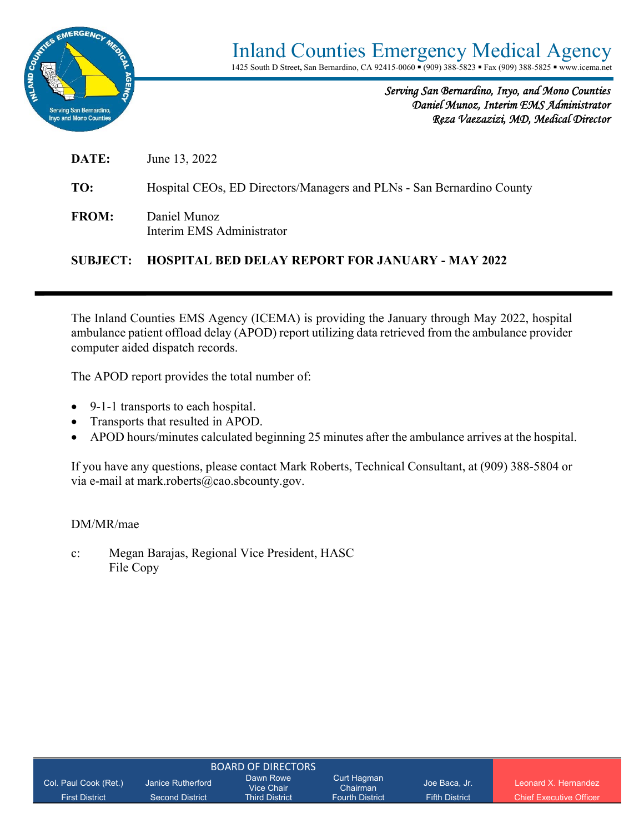

*Serving San Bernardino, Inyo, and Mono Counties Daniel Munoz, Interim EMS Administrator Reza Vaezazizi, MD, Medical Director* 

**DATE:** June 13, 2022

**TO:** Hospital CEOs, ED Directors/Managers and PLNs - San Bernardino County

**FROM:** Daniel Munoz Interim EMS Administrator

#### **SUBJECT: HOSPITAL BED DELAY REPORT FOR JANUARY - MAY 2022**

The Inland Counties EMS Agency (ICEMA) is providing the January through May 2022, hospital ambulance patient offload delay (APOD) report utilizing data retrieved from the ambulance provider computer aided dispatch records.

The APOD report provides the total number of:

- 9-1-1 transports to each hospital.
- Transports that resulted in APOD.
- APOD hours/minutes calculated beginning 25 minutes after the ambulance arrives at the hospital.

If you have any questions, please contact Mark Roberts, Technical Consultant, at (909) 388-5804 or via e-mail at mark.roberts@cao.sbcounty.gov.

#### DM/MR/mae

c: Megan Barajas, Regional Vice President, HASC File Copy

| Col. Paul Cook (Ret.) | Janice Rutherford      | Dawn Rowe<br>Vice Chair | Curt Hagman<br>Chairman | Joe Baca, Jr.         | Leonard X Hernandez            |
|-----------------------|------------------------|-------------------------|-------------------------|-----------------------|--------------------------------|
| <b>First District</b> | <b>Second District</b> | <b>Third District</b>   | <b>Fourth District</b>  | <b>Fifth District</b> | <b>Chief Executive Officer</b> |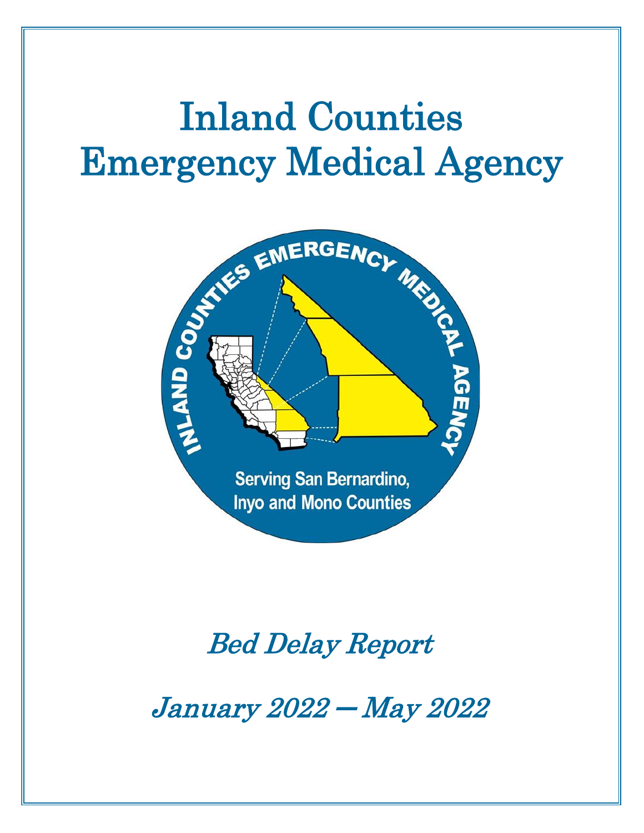# Inland Counties Emergency Medical Agency



## Bed Delay Report

January 2022 ─ May 2022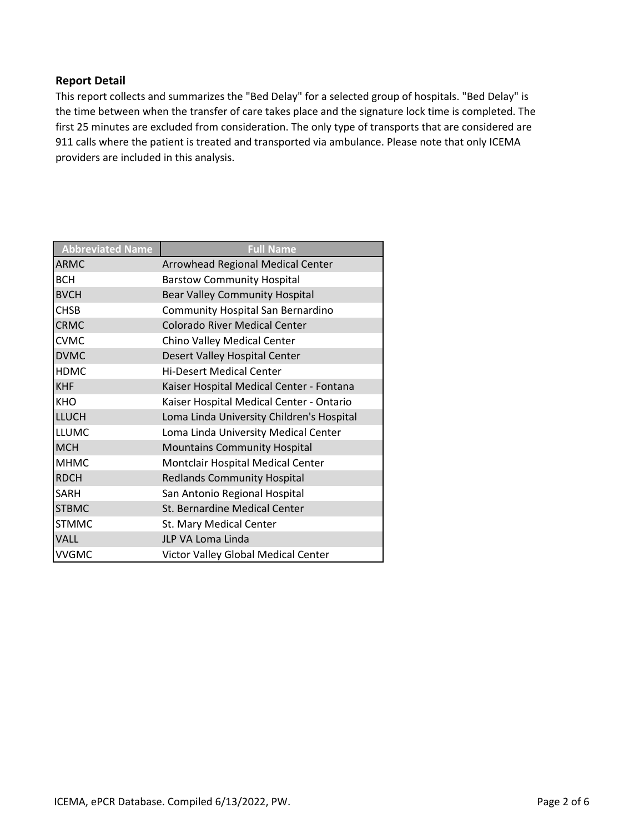#### **Report Detail**

This report collects and summarizes the "Bed Delay" for a selected group of hospitals. "Bed Delay" is the time between when the transfer of care takes place and the signature lock time is completed. The first 25 minutes are excluded from consideration. The only type of transports that are considered are 911 calls where the patient is treated and transported via ambulance. Please note that only ICEMA providers are included in this analysis.

| <b>Abbreviated Name</b> | <b>Full Name</b>                          |
|-------------------------|-------------------------------------------|
| <b>ARMC</b>             | Arrowhead Regional Medical Center         |
| <b>BCH</b>              | <b>Barstow Community Hospital</b>         |
| <b>BVCH</b>             | <b>Bear Valley Community Hospital</b>     |
| <b>CHSB</b>             | Community Hospital San Bernardino         |
| <b>CRMC</b>             | <b>Colorado River Medical Center</b>      |
| <b>CVMC</b>             | Chino Valley Medical Center               |
| <b>DVMC</b>             | Desert Valley Hospital Center             |
| <b>HDMC</b>             | <b>Hi-Desert Medical Center</b>           |
| <b>KHF</b>              | Kaiser Hospital Medical Center - Fontana  |
| <b>KHO</b>              | Kaiser Hospital Medical Center - Ontario  |
| <b>LLUCH</b>            | Loma Linda University Children's Hospital |
| <b>LLUMC</b>            | Loma Linda University Medical Center      |
| <b>MCH</b>              | <b>Mountains Community Hospital</b>       |
| <b>MHMC</b>             | Montclair Hospital Medical Center         |
| <b>RDCH</b>             | <b>Redlands Community Hospital</b>        |
| <b>SARH</b>             | San Antonio Regional Hospital             |
| <b>STBMC</b>            | St. Bernardine Medical Center             |
| <b>STMMC</b>            | St. Mary Medical Center                   |
| <b>VALL</b>             | JLP VA Loma Linda                         |
| <b>VVGMC</b>            | Victor Valley Global Medical Center       |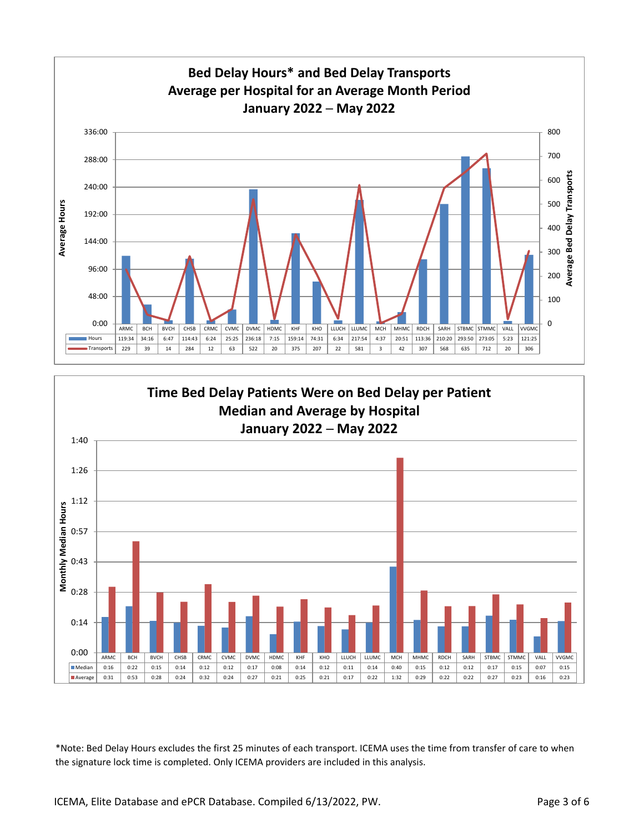

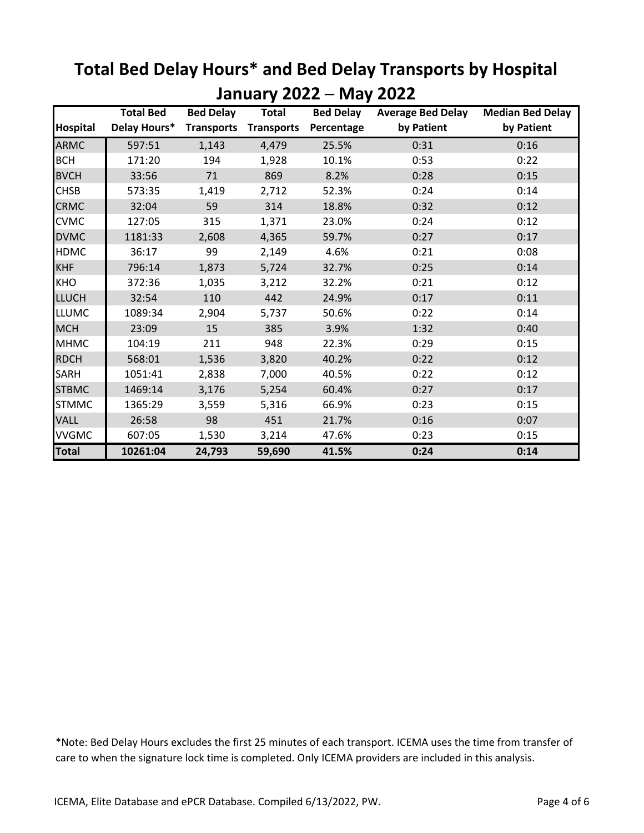|                 | <b>Total Bed</b> | <b>Bed Delay</b>  | <b>Total</b>      | <b>Bed Delay</b> | <b>Average Bed Delay</b> | <b>Median Bed Delay</b> |
|-----------------|------------------|-------------------|-------------------|------------------|--------------------------|-------------------------|
| <b>Hospital</b> | Delay Hours*     | <b>Transports</b> | <b>Transports</b> | Percentage       | by Patient               | by Patient              |
| <b>ARMC</b>     | 597:51           | 1,143             | 4,479             | 25.5%            | 0:31                     | 0:16                    |
| <b>BCH</b>      | 171:20           | 194               | 1,928             | 10.1%            | 0:53                     | 0:22                    |
| <b>BVCH</b>     | 33:56            | 71                | 869               | 8.2%             | 0:28                     | 0:15                    |
| <b>CHSB</b>     | 573:35           | 1,419             | 2,712             | 52.3%            | 0:24                     | 0:14                    |
| <b>CRMC</b>     | 32:04            | 59                | 314               | 18.8%            | 0:32                     | 0:12                    |
| <b>CVMC</b>     | 127:05           | 315               | 1,371             | 23.0%            | 0:24                     | 0:12                    |
| <b>DVMC</b>     | 1181:33          | 2,608             | 4,365             | 59.7%            | 0:27                     | 0:17                    |
| <b>HDMC</b>     | 36:17            | 99                | 2,149             | 4.6%             | 0:21                     | 0:08                    |
| <b>KHF</b>      | 796:14           | 1,873             | 5,724             | 32.7%            | 0:25                     | 0:14                    |
| <b>KHO</b>      | 372:36           | 1,035             | 3,212             | 32.2%            | 0:21                     | 0:12                    |
| <b>LLUCH</b>    | 32:54            | 110               | 442               | 24.9%            | 0:17                     | 0:11                    |
| <b>LLUMC</b>    | 1089:34          | 2,904             | 5,737             | 50.6%            | 0:22                     | 0:14                    |
| <b>MCH</b>      | 23:09            | 15                | 385               | 3.9%             | 1:32                     | 0:40                    |
| <b>MHMC</b>     | 104:19           | 211               | 948               | 22.3%            | 0:29                     | 0:15                    |
| <b>RDCH</b>     | 568:01           | 1,536             | 3,820             | 40.2%            | 0:22                     | 0:12                    |
| <b>SARH</b>     | 1051:41          | 2,838             | 7,000             | 40.5%            | 0:22                     | 0:12                    |
| <b>STBMC</b>    | 1469:14          | 3,176             | 5,254             | 60.4%            | 0:27                     | 0:17                    |
| <b>STMMC</b>    | 1365:29          | 3,559             | 5,316             | 66.9%            | 0:23                     | 0:15                    |
| <b>VALL</b>     | 26:58            | 98                | 451               | 21.7%            | 0:16                     | 0:07                    |
| <b>VVGMC</b>    | 607:05           | 1,530             | 3,214             | 47.6%            | 0:23                     | 0:15                    |
| <b>Total</b>    | 10261:04         | 24,793            | 59,690            | 41.5%            | 0:24                     | 0:14                    |

### **Total Bed Delay Hours\* and Bed Delay Transports by Hospital January 2022 ─ May 2022**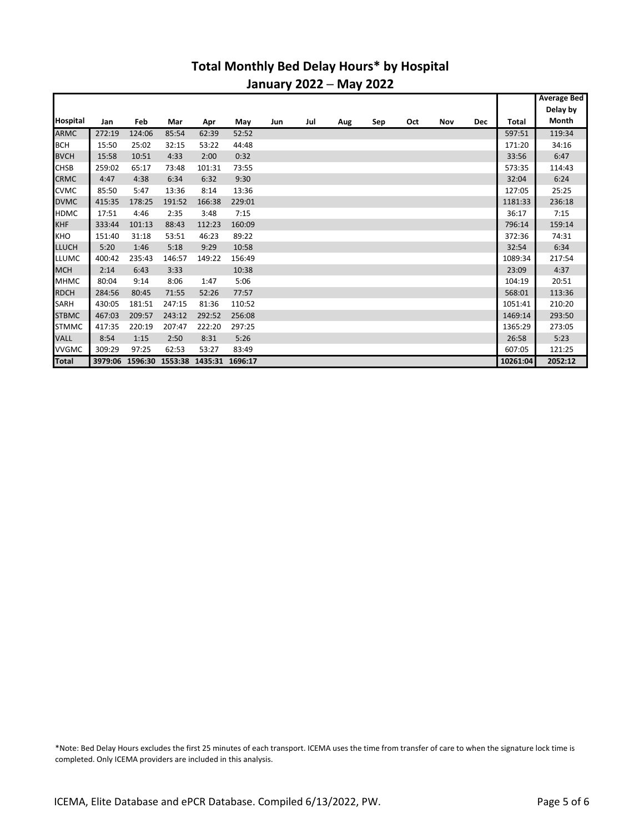#### **Total Monthly Bed Delay Hours\* by Hospital January 2022 ─ May 2022**

|                 |         |        |        |                                 |        |     |     |     |     |     |     |            |          | <b>Average Bed</b> |
|-----------------|---------|--------|--------|---------------------------------|--------|-----|-----|-----|-----|-----|-----|------------|----------|--------------------|
|                 |         |        |        |                                 |        |     |     |     |     |     |     |            |          | Delay by           |
| <b>Hospital</b> | Jan     | Feb    | Mar    | Apr                             | May    | Jun | Jul | Aug | Sep | Oct | Nov | <b>Dec</b> | Total    | Month              |
| <b>ARMC</b>     | 272:19  | 124:06 | 85:54  | 62:39                           | 52:52  |     |     |     |     |     |     |            | 597:51   | 119:34             |
| <b>BCH</b>      | 15:50   | 25:02  | 32:15  | 53:22                           | 44:48  |     |     |     |     |     |     |            | 171:20   | 34:16              |
| <b>BVCH</b>     | 15:58   | 10:51  | 4:33   | 2:00                            | 0:32   |     |     |     |     |     |     |            | 33:56    | 6:47               |
| <b>CHSB</b>     | 259:02  | 65:17  | 73:48  | 101:31                          | 73:55  |     |     |     |     |     |     |            | 573:35   | 114:43             |
| <b>CRMC</b>     | 4:47    | 4:38   | 6:34   | 6:32                            | 9:30   |     |     |     |     |     |     |            | 32:04    | 6:24               |
| <b>CVMC</b>     | 85:50   | 5:47   | 13:36  | 8:14                            | 13:36  |     |     |     |     |     |     |            | 127:05   | 25:25              |
| <b>DVMC</b>     | 415:35  | 178:25 | 191:52 | 166:38                          | 229:01 |     |     |     |     |     |     |            | 1181:33  | 236:18             |
| <b>HDMC</b>     | 17:51   | 4:46   | 2:35   | 3:48                            | 7:15   |     |     |     |     |     |     |            | 36:17    | 7:15               |
| <b>KHF</b>      | 333:44  | 101:13 | 88:43  | 112:23                          | 160:09 |     |     |     |     |     |     |            | 796:14   | 159:14             |
| KHO             | 151:40  | 31:18  | 53:51  | 46:23                           | 89:22  |     |     |     |     |     |     |            | 372:36   | 74:31              |
| <b>LLUCH</b>    | 5:20    | 1:46   | 5:18   | 9:29                            | 10:58  |     |     |     |     |     |     |            | 32:54    | 6:34               |
| <b>LLUMC</b>    | 400:42  | 235:43 | 146:57 | 149:22                          | 156:49 |     |     |     |     |     |     |            | 1089:34  | 217:54             |
| <b>MCH</b>      | 2:14    | 6:43   | 3:33   |                                 | 10:38  |     |     |     |     |     |     |            | 23:09    | 4:37               |
| <b>MHMC</b>     | 80:04   | 9:14   | 8:06   | 1:47                            | 5:06   |     |     |     |     |     |     |            | 104:19   | 20:51              |
| <b>RDCH</b>     | 284:56  | 80:45  | 71:55  | 52:26                           | 77:57  |     |     |     |     |     |     |            | 568:01   | 113:36             |
| SARH            | 430:05  | 181:51 | 247:15 | 81:36                           | 110:52 |     |     |     |     |     |     |            | 1051:41  | 210:20             |
| <b>STBMC</b>    | 467:03  | 209:57 | 243:12 | 292:52                          | 256:08 |     |     |     |     |     |     |            | 1469:14  | 293:50             |
| <b>STMMC</b>    | 417:35  | 220:19 | 207:47 | 222:20                          | 297:25 |     |     |     |     |     |     |            | 1365:29  | 273:05             |
| <b>VALL</b>     | 8:54    | 1:15   | 2:50   | 8:31                            | 5:26   |     |     |     |     |     |     |            | 26:58    | 5:23               |
| <b>VVGMC</b>    | 309:29  | 97:25  | 62:53  | 53:27                           | 83:49  |     |     |     |     |     |     |            | 607:05   | 121:25             |
| <b>Total</b>    | 3979:06 |        |        | 1596:30 1553:38 1435:31 1696:17 |        |     |     |     |     |     |     |            | 10261:04 | 2052:12            |